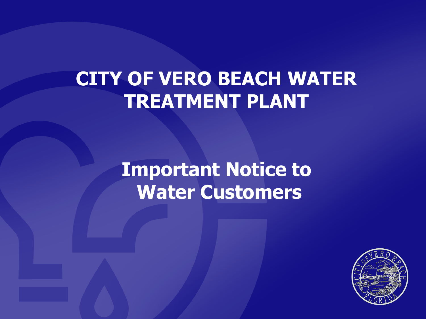## **CITY OF VERO BEACH WATER TREATMENT PLANT**

## **Important Notice to Water Customers**

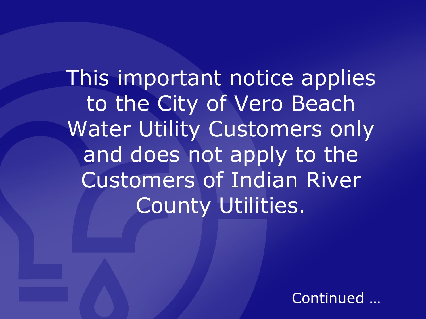to the City of Vero Beach and does not apply to the Customers of Indian River This important notice applies Water Utility Customers only County Utilities.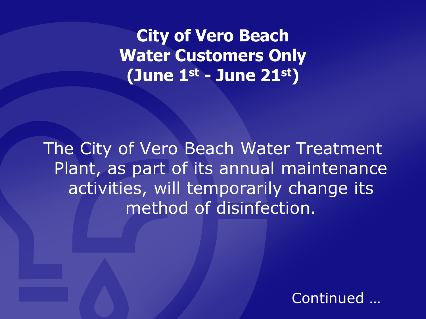The City of Vero Beach Water Treatment Plant, as part of its annual maintenance method of disinfection. activities, will temporarily change its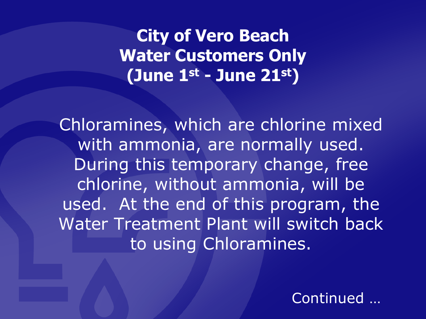Chloramines, which are chlorine mixed with ammonia, are normally used. During this temporary change, free chlorine, without ammonia, will be used. At the end of this program, the Water Treatment Plant will switch back to using Chloramines.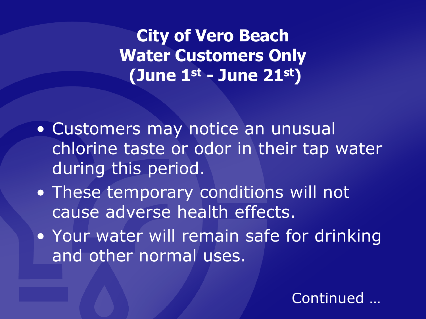- chlorine taste or odor in their tap water • Customers may notice an unusual during this period.
- • These temporary conditions will not cause adverse health effects.
- Your water will remain safe for drinking and other normal uses.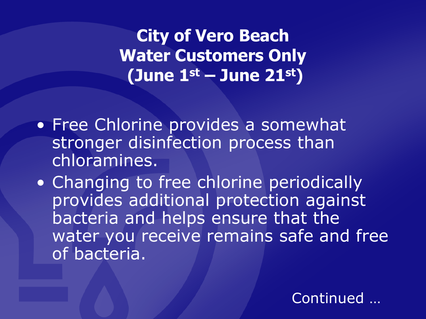- • Free Chlorine provides a somewhat stronger disinfection process than chloramines.
- • Changing to free chlorine periodically bacteria and helps ensure that the water you receive remains safe and free provides additional protection against of bacteria.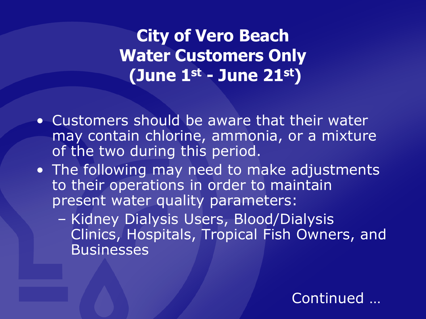- • Customers should be aware that their water may contain chlorine, ammonia, or a mixture of the two during this period.
- The following may need to make adjustments to their operations in order to maintain present water quality parameters:
	- Clinics, Hospitals, Tropical Fish Owners, and – Kidney Dialysis Users, Blood/Dialysis **Businesses**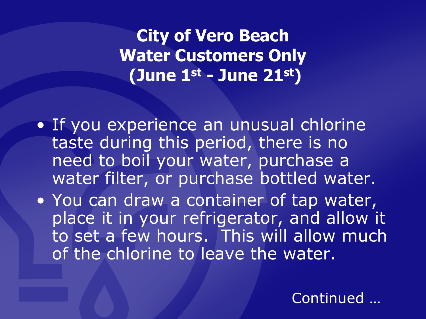- • If you experience an unusual chlorine taste during this period, there is no need to boil your water, purchase a water filter, or purchase bottled water.
- • You can draw a container of tap water, place it in your refrigerator, and allow it to set a few hours. This will allow much of the chlorine to leave the water.